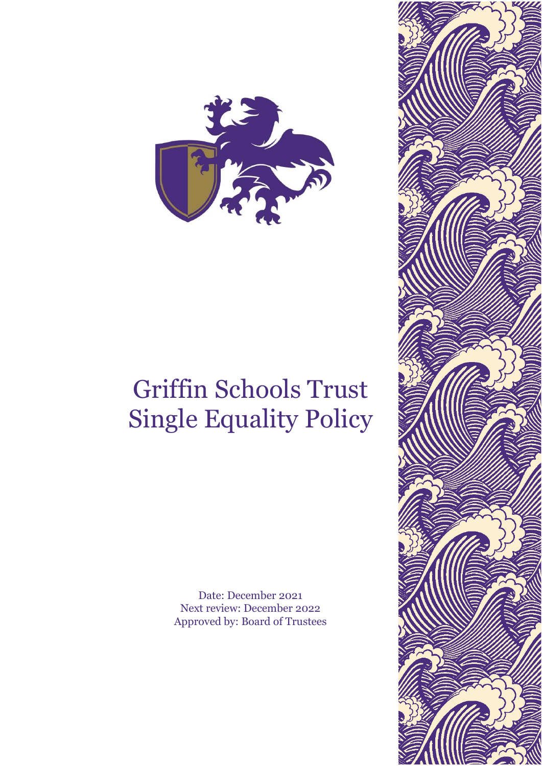

# Griffin Schools Trust Single Equality Policy

Date: December 2021 Next review: December 2022 Approved by: Board of Trustees

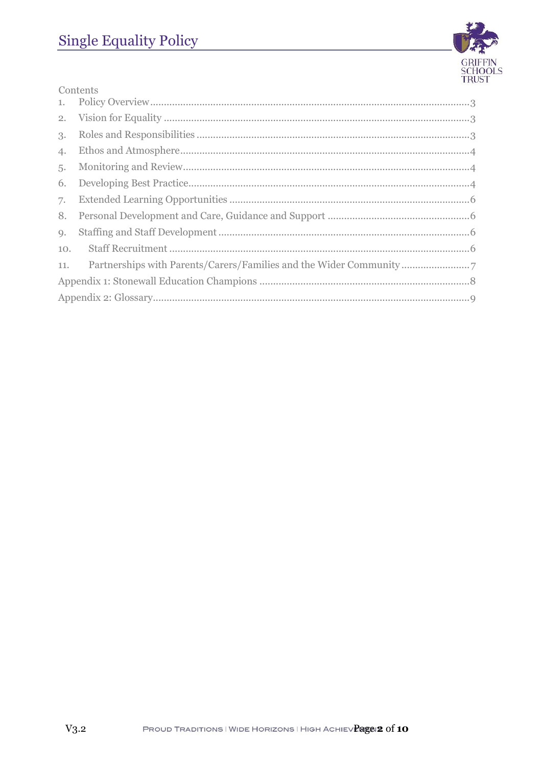

| Contents |                                                                   |
|----------|-------------------------------------------------------------------|
|          |                                                                   |
|          |                                                                   |
| 3.       |                                                                   |
| 4.       |                                                                   |
| 5.       |                                                                   |
| 6.       |                                                                   |
| 7.       |                                                                   |
| 8.       |                                                                   |
| 9.       |                                                                   |
| 10.      |                                                                   |
| 11.      | Partnerships with Parents/Carers/Families and the Wider Community |
|          |                                                                   |
|          |                                                                   |
|          |                                                                   |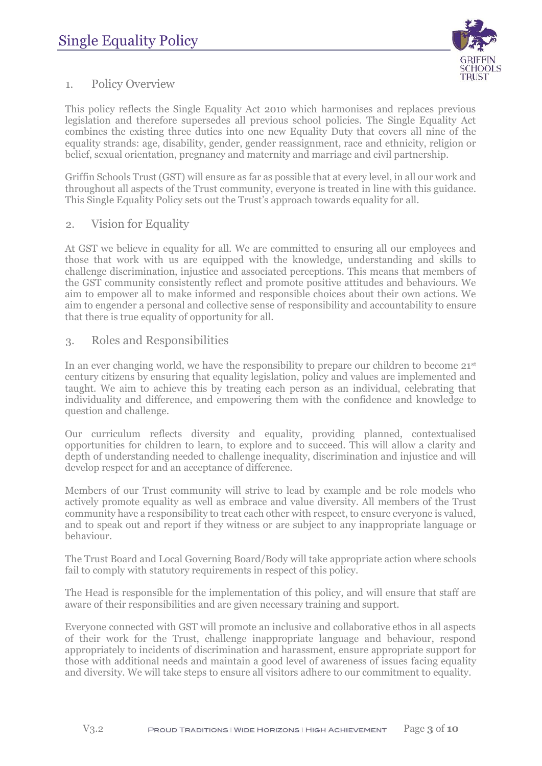

# <span id="page-2-0"></span>1. Policy Overview

This policy reflects the Single Equality Act 2010 which harmonises and replaces previous legislation and therefore supersedes all previous school policies. The Single Equality Act combines the existing three duties into one new Equality Duty that covers all nine of the equality strands: age, disability, gender, gender reassignment, race and ethnicity, religion or belief, sexual orientation, pregnancy and maternity and marriage and civil partnership.

Griffin Schools Trust (GST) will ensure as far as possible that at every level, in all our work and throughout all aspects of the Trust community, everyone is treated in line with this guidance. This Single Equality Policy sets out the Trust's approach towards equality for all.

<span id="page-2-1"></span>2. Vision for Equality

At GST we believe in equality for all. We are committed to ensuring all our employees and those that work with us are equipped with the knowledge, understanding and skills to challenge discrimination, injustice and associated perceptions. This means that members of the GST community consistently reflect and promote positive attitudes and behaviours. We aim to empower all to make informed and responsible choices about their own actions. We aim to engender a personal and collective sense of responsibility and accountability to ensure that there is true equality of opportunity for all.

## <span id="page-2-2"></span>3. Roles and Responsibilities

In an ever changing world, we have the responsibility to prepare our children to become  $21<sup>st</sup>$ century citizens by ensuring that equality legislation, policy and values are implemented and taught. We aim to achieve this by treating each person as an individual, celebrating that individuality and difference, and empowering them with the confidence and knowledge to question and challenge.

Our curriculum reflects diversity and equality, providing planned, contextualised opportunities for children to learn, to explore and to succeed. This will allow a clarity and depth of understanding needed to challenge inequality, discrimination and injustice and will develop respect for and an acceptance of difference.

Members of our Trust community will strive to lead by example and be role models who actively promote equality as well as embrace and value diversity. All members of the Trust community have a responsibility to treat each other with respect, to ensure everyone is valued, and to speak out and report if they witness or are subject to any inappropriate language or behaviour.

The Trust Board and Local Governing Board/Body will take appropriate action where schools fail to comply with statutory requirements in respect of this policy.

The Head is responsible for the implementation of this policy, and will ensure that staff are aware of their responsibilities and are given necessary training and support.

Everyone connected with GST will promote an inclusive and collaborative ethos in all aspects of their work for the Trust, challenge inappropriate language and behaviour, respond appropriately to incidents of discrimination and harassment, ensure appropriate support for those with additional needs and maintain a good level of awareness of issues facing equality and diversity. We will take steps to ensure all visitors adhere to our commitment to equality.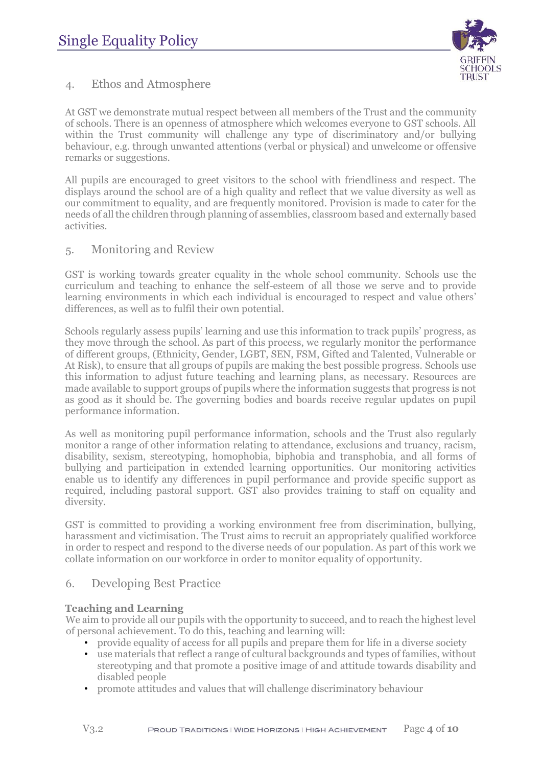

# <span id="page-3-0"></span>4. Ethos and Atmosphere

At GST we demonstrate mutual respect between all members of the Trust and the community of schools. There is an openness of atmosphere which welcomes everyone to GST schools. All within the Trust community will challenge any type of discriminatory and/or bullying behaviour, e.g. through unwanted attentions (verbal or physical) and unwelcome or offensive remarks or suggestions.

All pupils are encouraged to greet visitors to the school with friendliness and respect. The displays around the school are of a high quality and reflect that we value diversity as well as our commitment to equality, and are frequently monitored. Provision is made to cater for the needs of all the children through planning of assemblies, classroom based and externally based activities.

## <span id="page-3-1"></span>5. Monitoring and Review

GST is working towards greater equality in the whole school community. Schools use the curriculum and teaching to enhance the self-esteem of all those we serve and to provide learning environments in which each individual is encouraged to respect and value others' differences, as well as to fulfil their own potential.

Schools regularly assess pupils' learning and use this information to track pupils' progress, as they move through the school. As part of this process, we regularly monitor the performance of different groups, (Ethnicity, Gender, LGBT, SEN, FSM, Gifted and Talented, Vulnerable or At Risk), to ensure that all groups of pupils are making the best possible progress. Schools use this information to adjust future teaching and learning plans, as necessary. Resources are made available to support groups of pupils where the information suggests that progress is not as good as it should be. The governing bodies and boards receive regular updates on pupil performance information.

As well as monitoring pupil performance information, schools and the Trust also regularly monitor a range of other information relating to attendance, exclusions and truancy, racism, disability, sexism, stereotyping, homophobia, biphobia and transphobia, and all forms of bullying and participation in extended learning opportunities. Our monitoring activities enable us to identify any differences in pupil performance and provide specific support as required, including pastoral support. GST also provides training to staff on equality and diversity.

GST is committed to providing a working environment free from discrimination, bullying, harassment and victimisation. The Trust aims to recruit an appropriately qualified workforce in order to respect and respond to the diverse needs of our population. As part of this work we collate information on our workforce in order to monitor equality of opportunity.

## <span id="page-3-2"></span>6. Developing Best Practice

## **Teaching and Learning**

We aim to provide all our pupils with the opportunity to succeed, and to reach the highest level of personal achievement. To do this, teaching and learning will:

- provide equality of access for all pupils and prepare them for life in a diverse society
- use materials that reflect a range of cultural backgrounds and types of families, without stereotyping and that promote a positive image of and attitude towards disability and disabled people
- promote attitudes and values that will challenge discriminatory behaviour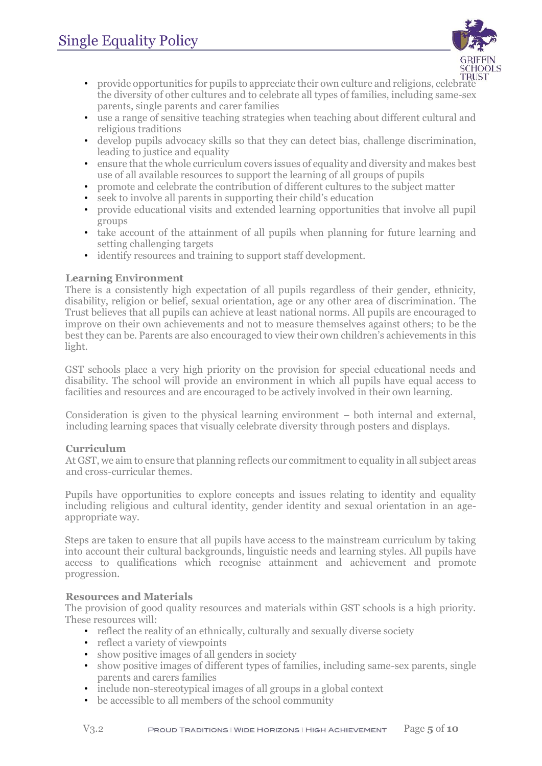

- provide opportunities for pupils to appreciate their own culture and religions, celebrate the diversity of other cultures and to celebrate all types of families, including same-sex parents, single parents and carer families
- use a range of sensitive teaching strategies when teaching about different cultural and religious traditions
- develop pupils advocacy skills so that they can detect bias, challenge discrimination, leading to justice and equality
- ensure that the whole curriculum covers issues of equality and diversity and makes best use of all available resources to support the learning of all groups of pupils
- promote and celebrate the contribution of different cultures to the subject matter
- seek to involve all parents in supporting their child's education
- provide educational visits and extended learning opportunities that involve all pupil groups
- take account of the attainment of all pupils when planning for future learning and setting challenging targets
- identify resources and training to support staff development.

#### **Learning Environment**

There is a consistently high expectation of all pupils regardless of their gender, ethnicity, disability, religion or belief, sexual orientation, age or any other area of discrimination. The Trust believes that all pupils can achieve at least national norms. All pupils are encouraged to improve on their own achievements and not to measure themselves against others; to be the best they can be. Parents are also encouraged to view their own children's achievements in this light.

GST schools place a very high priority on the provision for special educational needs and disability. The school will provide an environment in which all pupils have equal access to facilities and resources and are encouraged to be actively involved in their own learning.

Consideration is given to the physical learning environment – both internal and external, including learning spaces that visually celebrate diversity through posters and displays.

#### **Curriculum**

At GST, we aim to ensure that planning reflects our commitment to equality in all subject areas and cross-curricular themes.

Pupils have opportunities to explore concepts and issues relating to identity and equality including religious and cultural identity, gender identity and sexual orientation in an ageappropriate way.

Steps are taken to ensure that all pupils have access to the mainstream curriculum by taking into account their cultural backgrounds, linguistic needs and learning styles. All pupils have access to qualifications which recognise attainment and achievement and promote progression.

#### **Resources and Materials**

The provision of good quality resources and materials within GST schools is a high priority. These resources will:

- reflect the reality of an ethnically, culturally and sexually diverse society
- reflect a variety of viewpoints
- show positive images of all genders in society
- show positive images of different types of families, including same-sex parents, single parents and carers families
- include non-stereotypical images of all groups in a global context
- be accessible to all members of the school community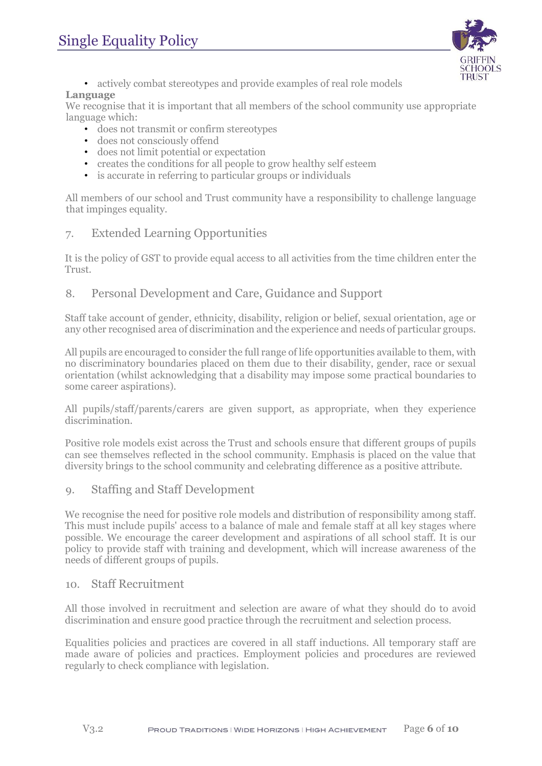

• actively combat stereotypes and provide examples of real role models

#### **Language**

We recognise that it is important that all members of the school community use appropriate language which:

- does not transmit or confirm stereotypes
- does not consciously offend
- does not limit potential or expectation
- creates the conditions for all people to grow healthy self esteem
- is accurate in referring to particular groups or individuals

All members of our school and Trust community have a responsibility to challenge language that impinges equality.

## <span id="page-5-0"></span>7. Extended Learning Opportunities

It is the policy of GST to provide equal access to all activities from the time children enter the Trust.

## <span id="page-5-1"></span>8. Personal Development and Care, Guidance and Support

Staff take account of gender, ethnicity, disability, religion or belief, sexual orientation, age or any other recognised area of discrimination and the experience and needs of particular groups.

All pupils are encouraged to consider the full range of life opportunities available to them, with no discriminatory boundaries placed on them due to their disability, gender, race or sexual orientation (whilst acknowledging that a disability may impose some practical boundaries to some career aspirations).

All pupils/staff/parents/carers are given support, as appropriate, when they experience discrimination.

Positive role models exist across the Trust and schools ensure that different groups of pupils can see themselves reflected in the school community. Emphasis is placed on the value that diversity brings to the school community and celebrating difference as a positive attribute.

## <span id="page-5-2"></span>9. Staffing and Staff Development

We recognise the need for positive role models and distribution of responsibility among staff. This must include pupils' access to a balance of male and female staff at all key stages where possible. We encourage the career development and aspirations of all school staff. It is our policy to provide staff with training and development, which will increase awareness of the needs of different groups of pupils.

## <span id="page-5-3"></span>10. Staff Recruitment

All those involved in recruitment and selection are aware of what they should do to avoid discrimination and ensure good practice through the recruitment and selection process.

Equalities policies and practices are covered in all staff inductions. All temporary staff are made aware of policies and practices. Employment policies and procedures are reviewed regularly to check compliance with legislation.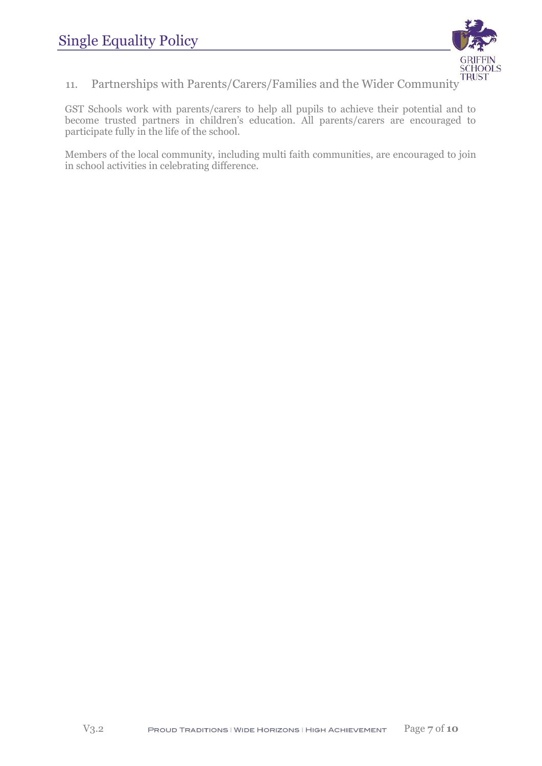

<span id="page-6-0"></span>11. Partnerships with Parents/Carers/Families and the Wider Community

GST Schools work with parents/carers to help all pupils to achieve their potential and to become trusted partners in children's education. All parents/carers are encouraged to participate fully in the life of the school.

Members of the local community, including multi faith communities, are encouraged to join in school activities in celebrating difference.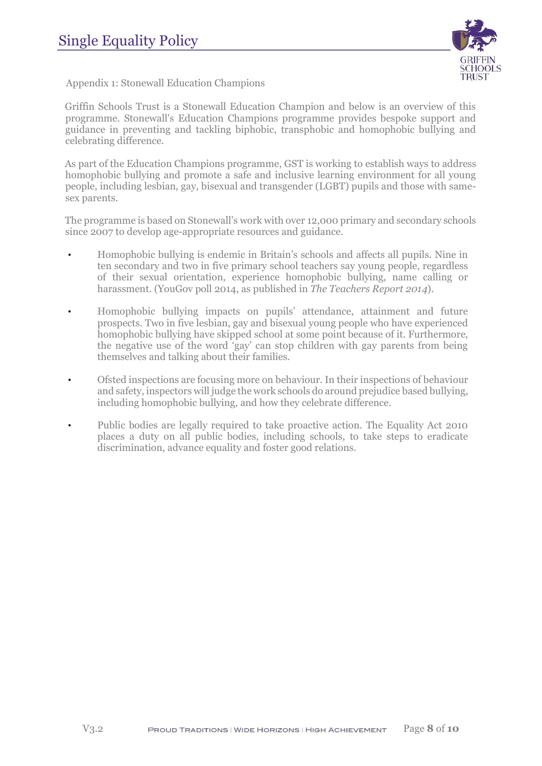

<span id="page-7-0"></span>Appendix 1: Stonewall Education Champions

Griffin Schools Trust is a Stonewall Education Champion and below is an overview of this programme. Stonewall's Education Champions programme provides bespoke support and guidance in preventing and tackling biphobic, transphobic and homophobic bullying and celebrating difference.

As part of the Education Champions programme, GST is working to establish ways to address homophobic bullying and promote a safe and inclusive learning environment for all young people, including lesbian, gay, bisexual and transgender (LGBT) pupils and those with samesex parents.

The programme is based on Stonewall's work with over 12,000 primary and secondary schools since 2007 to develop age-appropriate resources and guidance.

- Homophobic bullying is endemic in Britain's schools and affects all pupils. Nine in ten secondary and two in five primary school teachers say young people, regardless of their sexual orientation, experience homophobic bullying, name calling or harassment. (YouGov poll 2014, as published in *The Teachers Report 2014*).
- Homophobic bullying impacts on pupils' attendance, attainment and future prospects. Two in five lesbian, gay and bisexual young people who have experienced homophobic bullying have skipped school at some point because of it. Furthermore, the negative use of the word 'gay' can stop children with gay parents from being themselves and talking about their families.
- Ofsted inspections are focusing more on behaviour. In their inspections of behaviour and safety, inspectors will judge the work schools do around prejudice based bullying, including homophobic bullying, and how they celebrate difference.
- Public bodies are legally required to take proactive action. The Equality Act 2010 places a duty on all public bodies, including schools, to take steps to eradicate discrimination, advance equality and foster good relations.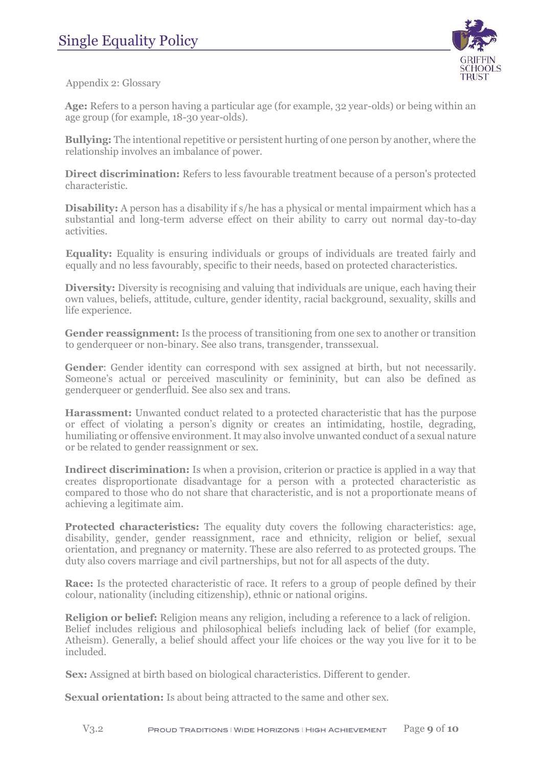

<span id="page-8-0"></span>Appendix 2: Glossary

**Age:** Refers to a person having a particular age (for example, 32 year-olds) or being within an age group (for example, 18-30 year-olds).

**Bullying:** The intentional repetitive or persistent hurting of one person by another, where the relationship involves an imbalance of power.

**Direct discrimination:** Refers to less favourable treatment because of a person's protected characteristic.

**Disability:** A person has a disability if s/he has a physical or mental impairment which has a substantial and long-term adverse effect on their ability to carry out normal day-to-day activities.

**Equality:** Equality is ensuring individuals or groups of individuals are treated fairly and equally and no less favourably, specific to their needs, based on protected characteristics.

**Diversity:** Diversity is recognising and valuing that individuals are unique, each having their own values, beliefs, attitude, culture, gender identity, racial background, sexuality, skills and life experience.

**Gender reassignment:** Is the process of transitioning from one sex to another or transition to genderqueer or non-binary. See also trans, transgender, transsexual.

Gender: Gender identity can correspond with sex assigned at birth, but not necessarily. Someone's actual or perceived masculinity or femininity, but can also be defined as genderqueer or genderfluid. See also sex and trans.

**Harassment:** Unwanted conduct related to a protected characteristic that has the purpose or effect of violating a person's dignity or creates an intimidating, hostile, degrading, humiliating or offensive environment. It may also involve unwanted conduct of a sexual nature or be related to gender reassignment or sex.

**Indirect discrimination:** Is when a provision, criterion or practice is applied in a way that creates disproportionate disadvantage for a person with a protected characteristic as compared to those who do not share that characteristic, and is not a proportionate means of achieving a legitimate aim.

**Protected characteristics:** The equality duty covers the following characteristics: age, disability, gender, gender reassignment, race and ethnicity, religion or belief, sexual orientation, and pregnancy or maternity. These are also referred to as protected groups. The duty also covers marriage and civil partnerships, but not for all aspects of the duty.

**Race:** Is the protected characteristic of race. It refers to a group of people defined by their colour, nationality (including citizenship), ethnic or national origins.

**Religion or belief:** Religion means any religion, including a reference to a lack of religion. Belief includes religious and philosophical beliefs including lack of belief (for example, Atheism). Generally, a belief should affect your life choices or the way you live for it to be included.

**Sex:** Assigned at birth based on biological characteristics. Different to gender.

**Sexual orientation:** Is about being attracted to the same and other sex.